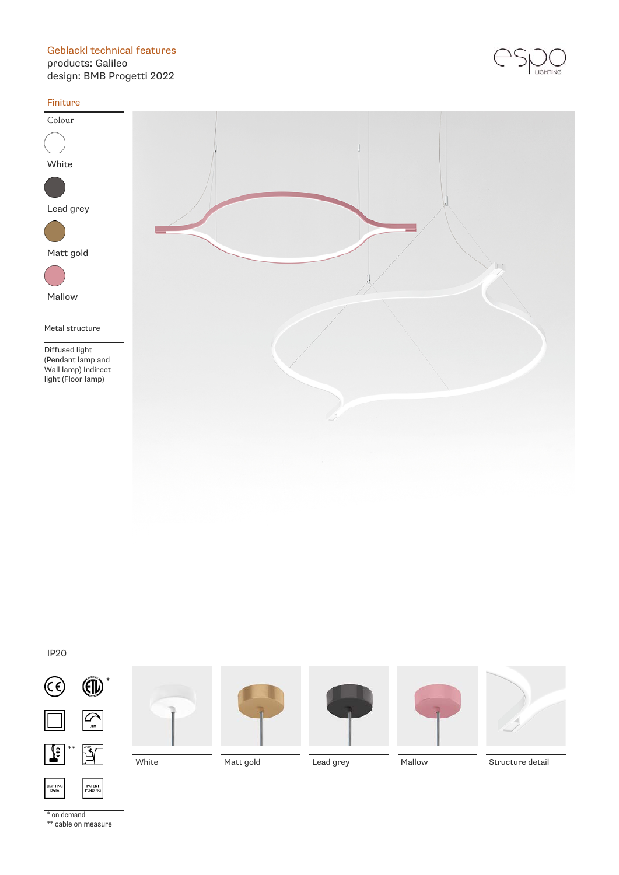## Geblackl technical features products: Galileo

design: BMB Progetti 2022

#### Finiture

















White Matt gold Lead grey Mallow Structure detail

#### \* on demand

\*\* cable on measure

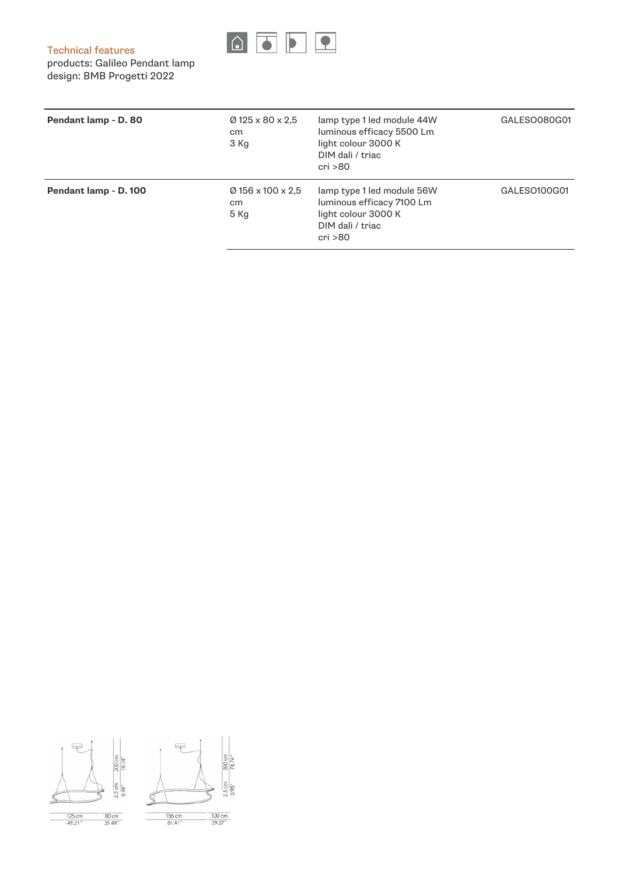

Technical features

products: Galileo Pendant lamp design: BMB Progetti 2022

| Pendant lamp - D. 80  | $\varnothing$ 125 x 80 x 2,5<br>cm.<br>3 Kg   | lamp type 1 led module 44W<br>luminous efficacy 5500 Lm<br>light colour 3000 K<br>DIM dali / triac<br>cri > 80 | GALESO080G01 |
|-----------------------|-----------------------------------------------|----------------------------------------------------------------------------------------------------------------|--------------|
| Pendant lamp - D. 100 | $\varnothing$ 156 x 100 x 2,5<br>cm<br>$5$ Kg | lamp type 1 led module 56W<br>luminous efficacy 7100 Lm<br>light colour 3000 K<br>DIM dali / triac<br>cri >80  | GALESO100G01 |

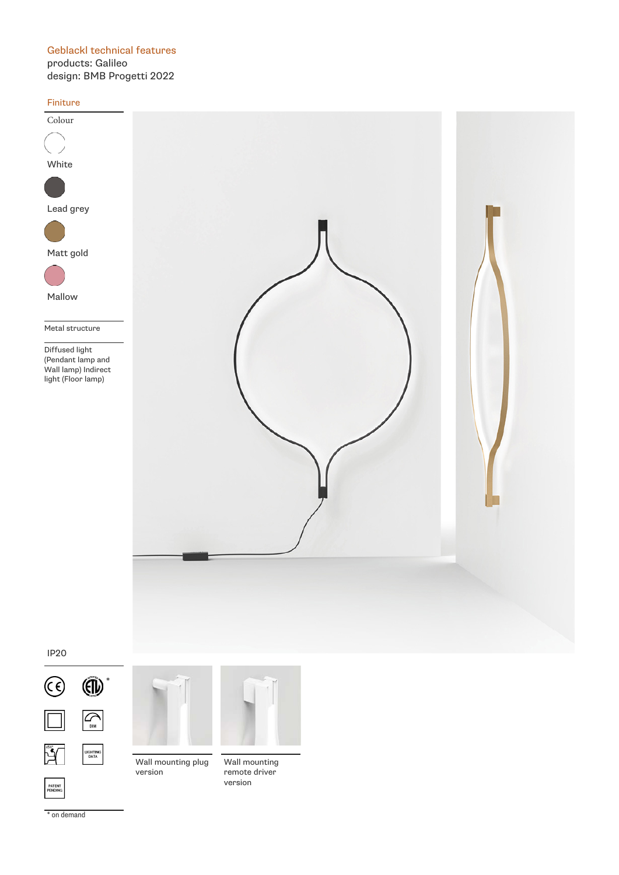## Geblackl technical features

products: Galileo design: BMB Progetti 2022

#### Finiture



### IP20



\*



Wall mounting plug version

Wall mounting remote driver version

\* on demand

**PATENT<br>PENDING**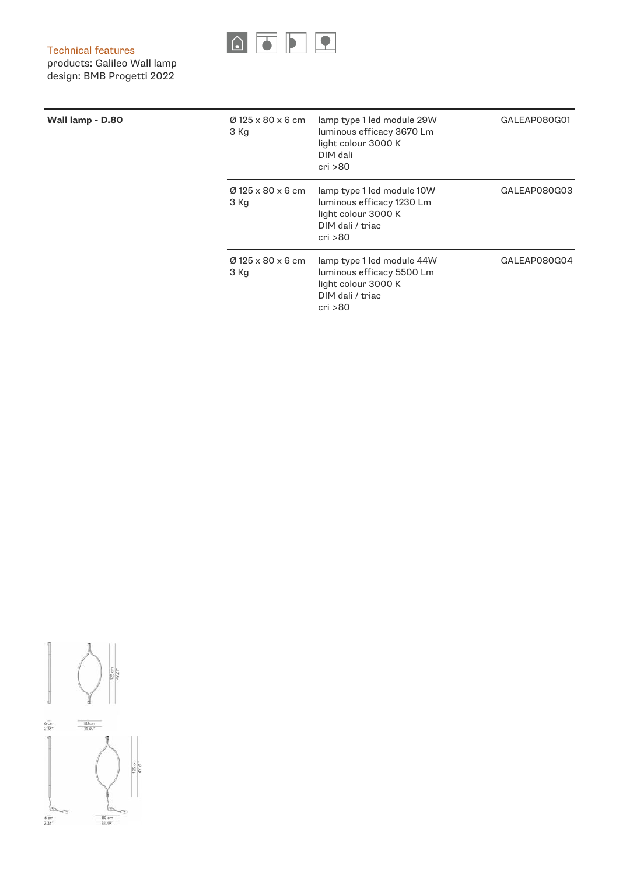

Technical features

products: Galileo Wall lamp design: BMB Progetti 2022

|  |  | Wall lamp - D.80 |
|--|--|------------------|
|--|--|------------------|

| Wall lamp - D.80 | $\varnothing$ 125 x 80 x 6 cm<br>3 Kg | lamp type 1 led module 29W<br>luminous efficacy 3670 Lm<br>light colour 3000 K<br>DIM dali<br>cri >80         | GALEAP080G01 |
|------------------|---------------------------------------|---------------------------------------------------------------------------------------------------------------|--------------|
|                  | $\varnothing$ 125 x 80 x 6 cm<br>3 Kg | lamp type 1 led module 10W<br>luminous efficacy 1230 Lm<br>light colour 3000 K<br>DIM dali / triac<br>cri >80 | GALEAP080G03 |
|                  | $\varnothing$ 125 x 80 x 6 cm<br>3 Kg | lamp type 1 led module 44W<br>luminous efficacy 5500 Lm<br>light colour 3000 K<br>DIM dali / triac<br>cri >80 | GALEAP080G04 |

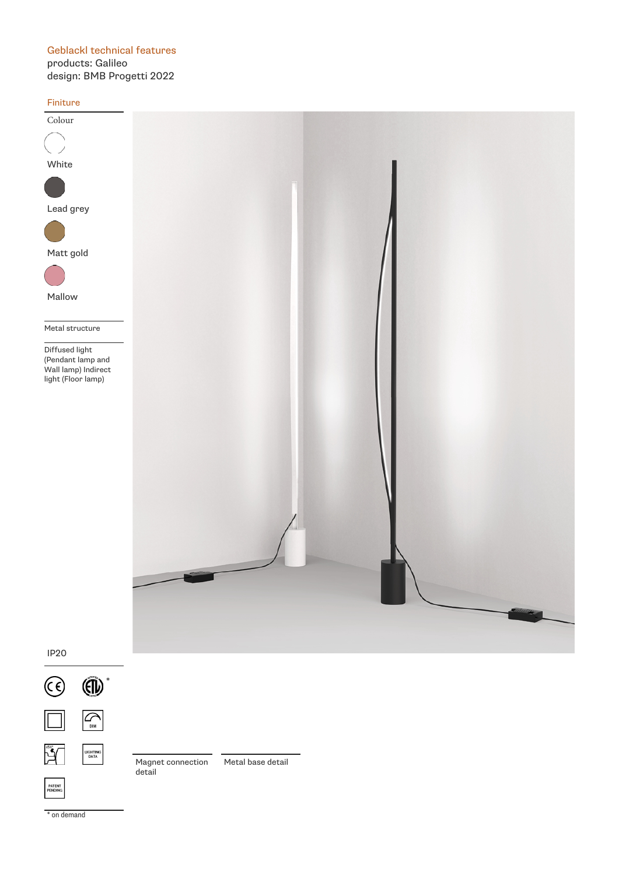# Geblackl technical features

products: Galileo design: BMB Progetti 2022

#### Finiture









\* on demand

PATENT<br>PENDING